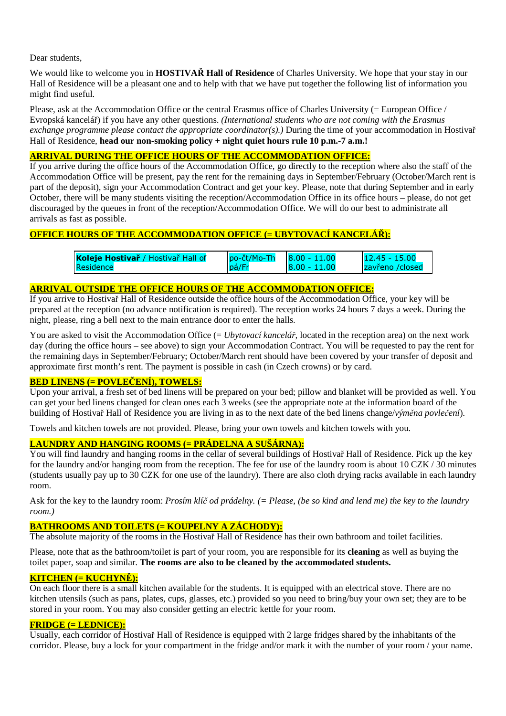Dear students,

We would like to welcome you in **HOSTIVAŘ Hall of Residence** of Charles University. We hope that your stay in our Hall of Residence will be a pleasant one and to help with that we have put together the following list of information you might find useful.

Please, ask at the Accommodation Office or the central Erasmus office of Charles University (= European Office / Evropská kancelář) if you have any other questions. *(International students who are not coming with the Erasmus exchange programme please contact the appropriate coordinator(s).)* During the time of your accommodation in Hostivař Hall of Residence, **head our non-smoking policy + night quiet hours rule 10 p.m.-7 a.m.!** 

## **ARRIVAL DURING THE OFFICE HOURS OF THE ACCOMMODATION OFFICE:**

If you arrive during the office hours of the Accommodation Office, go directly to the reception where also the staff of the Accommodation Office will be present, pay the rent for the remaining days in September/February (October/March rent is part of the deposit), sign your Accommodation Contract and get your key. Please, note that during September and in early October, there will be many students visiting the reception/Accommodation Office in its office hours – please, do not get discouraged by the queues in front of the reception/Accommodation Office. We will do our best to administrate all arrivals as fast as possible.

# **OFFICE HOURS OF THE ACCOMMODATION OFFICE (= UBYTOVACÍ KANCELÁŘ):**

| Koleje Hostivař / Hostivař Hall of | po-čt/Mo-Th | $8.00 - 11.00$ | $12.45 - 15.00$  |
|------------------------------------|-------------|----------------|------------------|
| Residence                          | pá/Fr       | $8.00 - 11.00$ | Izavřeno /closed |

## **ARRIVAL OUTSIDE THE OFFICE HOURS OF THE ACCOMMODATION OFFICE:**

If you arrive to Hostivař Hall of Residence outside the office hours of the Accommodation Office, your key will be prepared at the reception (no advance notification is required). The reception works 24 hours 7 days a week. During the night, please, ring a bell next to the main entrance door to enter the halls.

You are asked to visit the Accommodation Office (= *Ubytovací kancelář*, located in the reception area) on the next work day (during the office hours – see above) to sign your Accommodation Contract. You will be requested to pay the rent for the remaining days in September/February; October/March rent should have been covered by your transfer of deposit and approximate first month's rent. The payment is possible in cash (in Czech crowns) or by card.

## **BED LINENS (= POVLEČENÍ), TOWELS:**

Upon your arrival, a fresh set of bed linens will be prepared on your bed; pillow and blanket will be provided as well. You can get your bed linens changed for clean ones each 3 weeks (see the appropriate note at the information board of the building of Hostivař Hall of Residence you are living in as to the next date of the bed linens change/*výměna povlečení*).

Towels and kitchen towels are not provided. Please, bring your own towels and kitchen towels with you.

### **LAUNDRY AND HANGING ROOMS (= PRÁDELNA A SUŠÁRNA):**

You will find laundry and hanging rooms in the cellar of several buildings of Hostivař Hall of Residence. Pick up the key for the laundry and/or hanging room from the reception. The fee for use of the laundry room is about 10 CZK / 30 minutes (students usually pay up to 30 CZK for one use of the laundry). There are also cloth drying racks available in each laundry room.

Ask for the key to the laundry room: *Prosím klíč od prádelny. (= Please, (be so kind and lend me) the key to the laundry room.)* 

## **BATHROOMS AND TOILETS (= KOUPELNY A ZÁCHODY):**

The absolute majority of the rooms in the Hostivař Hall of Residence has their own bathroom and toilet facilities.

Please, note that as the bathroom/toilet is part of your room, you are responsible for its **cleaning** as well as buying the toilet paper, soap and similar. **The rooms are also to be cleaned by the accommodated students.**

### **KITCHEN (= KUCHYNĚ):**

On each floor there is a small kitchen available for the students. It is equipped with an electrical stove. There are no kitchen utensils (such as pans, plates, cups, glasses, etc.) provided so you need to bring/buy your own set; they are to be stored in your room. You may also consider getting an electric kettle for your room.

## **FRIDGE (= LEDNICE):**

Usually, each corridor of Hostivař Hall of Residence is equipped with 2 large fridges shared by the inhabitants of the corridor. Please, buy a lock for your compartment in the fridge and/or mark it with the number of your room / your name.